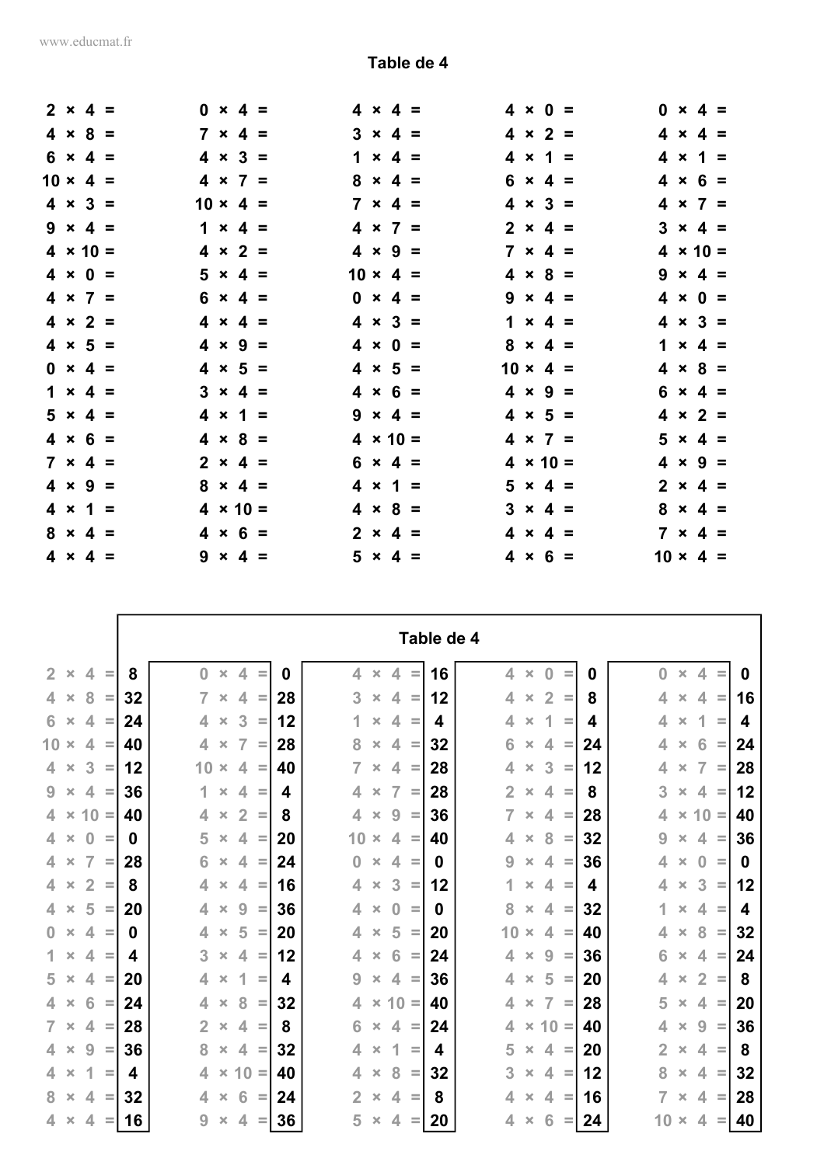r.

|  | $2 \times 4 =$  |  | $0 \times 4 =$  |                 | $4 \times 4 =$  | $4 \times 0 =$  |                 | $0 \times 4 =$  |  |
|--|-----------------|--|-----------------|-----------------|-----------------|-----------------|-----------------|-----------------|--|
|  | $4 \times 8 =$  |  | $7 \times 4 =$  |                 | $3 \times 4 =$  | $4 \times 2 =$  |                 | $4 \times 4 =$  |  |
|  | $6 \times 4 =$  |  | $4 \times 3 =$  |                 | $1 \times 4 =$  | $4 \times 1 =$  |                 | $4 \times 1 =$  |  |
|  | $10 \times 4 =$ |  | $4 \times 7 =$  |                 | $8 \times 4 =$  | $6 \times 4 =$  |                 | $4 \times 6 =$  |  |
|  | $4 \times 3 =$  |  | $10 \times 4 =$ |                 | $7 \times 4 =$  | $4 \times 3 =$  |                 | $4 \times 7 =$  |  |
|  | $9 \times 4 =$  |  | $1 \times 4 =$  |                 | $4 \times 7 =$  | $2 \times 4 =$  |                 | $3 \times 4 =$  |  |
|  | $4 \times 10 =$ |  | $4 \times 2 =$  |                 | $4 \times 9 =$  | $7 \times 4 =$  |                 | $4 \times 10 =$ |  |
|  | $4 \times 0 =$  |  | $5 \times 4 =$  | $10 \times 4 =$ |                 | $4 \times 8 =$  |                 | $9 \times 4 =$  |  |
|  | $4 \times 7 =$  |  | $6 \times 4 =$  |                 | $0 \times 4 =$  | $9 \times 4 =$  |                 | $4 \times 0 =$  |  |
|  | $4 \times 2 =$  |  | $4 \times 4 =$  |                 | $4 \times 3 =$  | $1 \times 4 =$  |                 | $4 \times 3 =$  |  |
|  | $4 \times 5 =$  |  | $4 \times 9 =$  |                 | $4 \times 0 =$  | $8 \times 4 =$  |                 | $1 \times 4 =$  |  |
|  | $0 \times 4 =$  |  | $4 \times 5 =$  |                 | $4 \times 5 =$  | $10 \times 4 =$ |                 | $4 \times 8 =$  |  |
|  | $1 \times 4 =$  |  | $3 \times 4 =$  |                 | $4 \times 6 =$  | $4 \times 9 =$  |                 | $6 \times 4 =$  |  |
|  | $5 \times 4 =$  |  | $4 \times 1 =$  |                 | $9 \times 4 =$  | $4 \times 5 =$  |                 | $4 \times 2 =$  |  |
|  | $4 \times 6 =$  |  | $4 \times 8 =$  |                 | $4 \times 10 =$ | $4 \times 7 =$  |                 | $5 \times 4 =$  |  |
|  | $7 \times 4 =$  |  | $2 \times 4 =$  |                 | $6 \times 4 =$  | $4 \times 10 =$ |                 | $4 \times 9 =$  |  |
|  | $4 \times 9 =$  |  | $8 \times 4 =$  |                 | $4 \times 1 =$  | $5 \times 4 =$  |                 | $2 \times 4 =$  |  |
|  | $4 \times 1 =$  |  | $4 \times 10 =$ |                 | $4 \times 8 =$  | $3 \times 4 =$  |                 | $8 \times 4 =$  |  |
|  | $8 \times 4 =$  |  | $4 \times 6 =$  |                 | $2 \times 4 =$  | $4 \times 4 =$  |                 | $7 \times 4 =$  |  |
|  | $4 \times 4 =$  |  | $9 \times 4 =$  |                 | $5 \times 4 =$  | $4 \times 6 =$  | $10 \times 4 =$ |                 |  |

|                                                           |    |                |                |                |          |    |                |                |                          |          | Table de 4 |                |                |                |          |    |                |             |                |                 |          |          |
|-----------------------------------------------------------|----|----------------|----------------|----------------|----------|----|----------------|----------------|--------------------------|----------|------------|----------------|----------------|----------------|----------|----|----------------|-------------|----------------|-----------------|----------|----------|
| 2 <sup>1</sup><br>4<br>$\times$<br>$\equiv$               | 8  | $\mathbf{0}$   | $\pmb{\times}$ | $\overline{4}$ | Ξ        | 0  | 4              | $\pmb{\times}$ | 4                        | $\equiv$ | 16         | 4              | $\pmb{\times}$ | $\bf{0}$       |          | 0  | $\bf{0}$       |             | $\pmb{\times}$ | 4               |          | 0        |
| $4 \times$<br>8<br>$\equiv$                               | 32 | $\overline{7}$ | $\times$       | 4              | $\equiv$ | 28 | 3              | $\times$       | $\overline{4}$           | $\equiv$ | 12         | 4              | $\times$       | $\overline{2}$ | $\equiv$ | 8  | 4              |             | $\pmb{\times}$ | 4               | $\equiv$ | 16       |
| $6 \times$<br>$\overline{4}$<br>$\equiv$                  | 24 | 4              | $\pmb{\times}$ | 3              | $\equiv$ | 12 | 1              | $\times$       | $\overline{4}$           | $\equiv$ | 4          | 4              | $\pmb{\times}$ | 1              | $\equiv$ | 4  | 4              |             | $\pmb{\times}$ | 1               | $\equiv$ | 4        |
| 10 <sub>1</sub><br>$\overline{4}$<br>$\times$<br>$\equiv$ | 40 | 4              | $\pmb{\times}$ | $\overline{7}$ | $\equiv$ | 28 | 8              | $\times$       | $\overline{4}$           | $\equiv$ | 32         | 6              | $\pmb{\times}$ | $\overline{4}$ | $\equiv$ | 24 | 4              |             | $\pmb{\times}$ | $6\phantom{1}6$ | $\equiv$ | 24       |
| 3<br>$4 \times$<br>$\equiv$                               | 12 | 10             | $\pmb{\times}$ | 4              | $\equiv$ | 40 | $\overline{7}$ | $\times$       | 4                        | $\equiv$ | 28         | 4              | $\pmb{\times}$ | 3              | $\equiv$ | 12 | 4              |             | $\pmb{\times}$ | $\overline{7}$  | $\equiv$ | 28       |
| $9 \times$<br>$\overline{4}$<br>$\equiv$                  | 36 | 1.             | $\times$       | 4              | $\equiv$ | 4  | 4              | $\pmb{\times}$ | 7                        | $\equiv$ | 28         | $\overline{2}$ | $\times$       | 4              | $\equiv$ | 8  | 3              |             | $\pmb{\times}$ | 4               | $\equiv$ | 12       |
| $4 \times 10 =$                                           | 40 | 4              | $\pmb{\times}$ | $\overline{2}$ | $\equiv$ | 8  | 4              | $\pmb{\times}$ | 9                        | $\equiv$ | 36         | $\overline{7}$ | $\times$       | $\overline{4}$ | $\equiv$ | 28 | 4              |             |                | $\times$ 10 =   |          | 40       |
| $4 \times$<br>$\bf{0}$<br>$\equiv$                        | 0  | 5              | $\times$       | 4              | $\equiv$ | 20 | 10             | $\times$       | $\overline{4}$           | $\equiv$ | 40         | 4              | $\times$       | 8              | $\equiv$ | 32 | 9              |             | $\times$       | 4               | $\equiv$ | 36       |
| $\overline{4}$<br>$\overline{7}$<br>$\times$<br>$\equiv$  | 28 | 6              | $\pmb{\times}$ | 4              | $\equiv$ | 24 | $\bf{0}$       | $\times$       | $\overline{\mathcal{A}}$ | =        | 0          | 9              | $\pmb{\times}$ | 4              | $\equiv$ | 36 | 4              |             | $\pmb{\times}$ | $\bf{0}$        | $\equiv$ | $\bf{0}$ |
| $4 \times$<br>$\overline{2}$<br>$\equiv$                  | 8  | 4              | $\times$       | 4              | $\equiv$ | 16 | 4              | $\times$       | 3                        | $\equiv$ | 12         | 1              | $\times$       | $\overline{4}$ | $\equiv$ | 4  | 4              |             | $\pmb{\times}$ | 3               | $\equiv$ | 12       |
| 5<br>4 <sup>1</sup><br>$\times$<br>$\equiv$               | 20 | 4              | $\times$       | 9              | Ξ        | 36 | 4              | $\times$       | $\bf{0}$                 | Ξ        | 0          | 8              | $\times$       | $\overline{4}$ | $\equiv$ | 32 | 1              |             | $\times$       | $\overline{4}$  | $\equiv$ | 4        |
| $\mathbf{0}$<br>4<br>$\times$<br>$\equiv$                 | 0  | 4              | $\pmb{\times}$ | 5              | $\equiv$ | 20 | 4              | $\times$       | 5                        | $\equiv$ | 20         | 10             | $\times$       | $\overline{4}$ | $\equiv$ | 40 | 4              |             | $\pmb{\times}$ | 8               | $\equiv$ | 32       |
| $\mathbf{1}$<br>$\overline{4}$<br>$\times$<br>$\equiv$    | 4  | 3              | $\times$       | 4              | $\equiv$ | 12 | 4              | $\times$       | 6                        | $\equiv$ | 24         | 4              | $\pmb{\times}$ | 9              | $\equiv$ | 36 | 6              |             | $\times$       | 4               | $\equiv$ | 24       |
| $5 \times$<br>$\overline{4}$<br>$\equiv$                  | 20 | 4              | $\pmb{\times}$ | 1              | $\equiv$ | 4  | 9              | $\times$       | $\overline{4}$           | $\equiv$ | 36         | 4              | $\pmb{\times}$ | 5              | $\equiv$ | 20 | 4              |             | $\pmb{\times}$ | $\overline{2}$  | $\equiv$ | 8        |
| $4 \times$<br>6<br>$\equiv$                               | 24 | 4              | $\times$       | 8              | $\equiv$ | 32 | 4              | $\pmb{\times}$ | $10 =$                   |          | 40         | 4              | $\times$       | $\overline{7}$ | $\equiv$ | 28 | 5              |             | $\times$       | 4               | $\equiv$ | 20       |
| $7 \times$<br>$\overline{\mathcal{A}}$<br>$\equiv$        | 28 | $\overline{2}$ | $\pmb{\times}$ | 4              | $\equiv$ | 8  | 6              | $\pmb{\times}$ | $\overline{4}$           | $\equiv$ | 24         | 4              |                | $\times$ 10 =  |          | 40 | 4              |             | $\pmb{\times}$ | 9               | $\equiv$ | 36       |
| 9<br>$\overline{4}$<br>$\pmb{\times}$<br>$\equiv$         | 36 | 8              | $\pmb{\times}$ | 4              | $\equiv$ | 32 | 4              | $\times$       | 1                        | Ξ        | 4          | 5              | $\pmb{\times}$ | 4              | $\sim$   | 20 | $\overline{2}$ |             | $\pmb{\times}$ | $\overline{4}$  | $\equiv$ | 8        |
| $4 \times$<br>1<br>$\equiv$                               | 4  | 4              | $\mathsf{X}$   | $10 =$         |          | 40 | 4              | $\times$       | 8                        | $\equiv$ | 32         | 3              | $\times$       | $4 =$          |          | 12 | 8              |             | $\pmb{\times}$ | $\overline{4}$  | $\equiv$ | 32       |
| $8 \times$<br>$\overline{4}$<br>$\equiv$                  | 32 | 4              | $\pmb{\times}$ | 6              | $\equiv$ | 24 | $\overline{2}$ | $\times$       | $\overline{4}$           | $\equiv$ | 8          | 4              | $\times$       | 4              | $\equiv$ | 16 | $\overline{7}$ |             | $\pmb{\times}$ | 4               | $\equiv$ | 28       |
| $4 \times$<br>$\overline{4}$<br>=                         | 16 | 9              | $\times$       | 4              | =        | 36 | 5              | $\times$       | 4                        | =        | 20         | 4              | $\times$       | 6              | $=$      | 24 |                | $10 \times$ |                | 4               | $\equiv$ | 40       |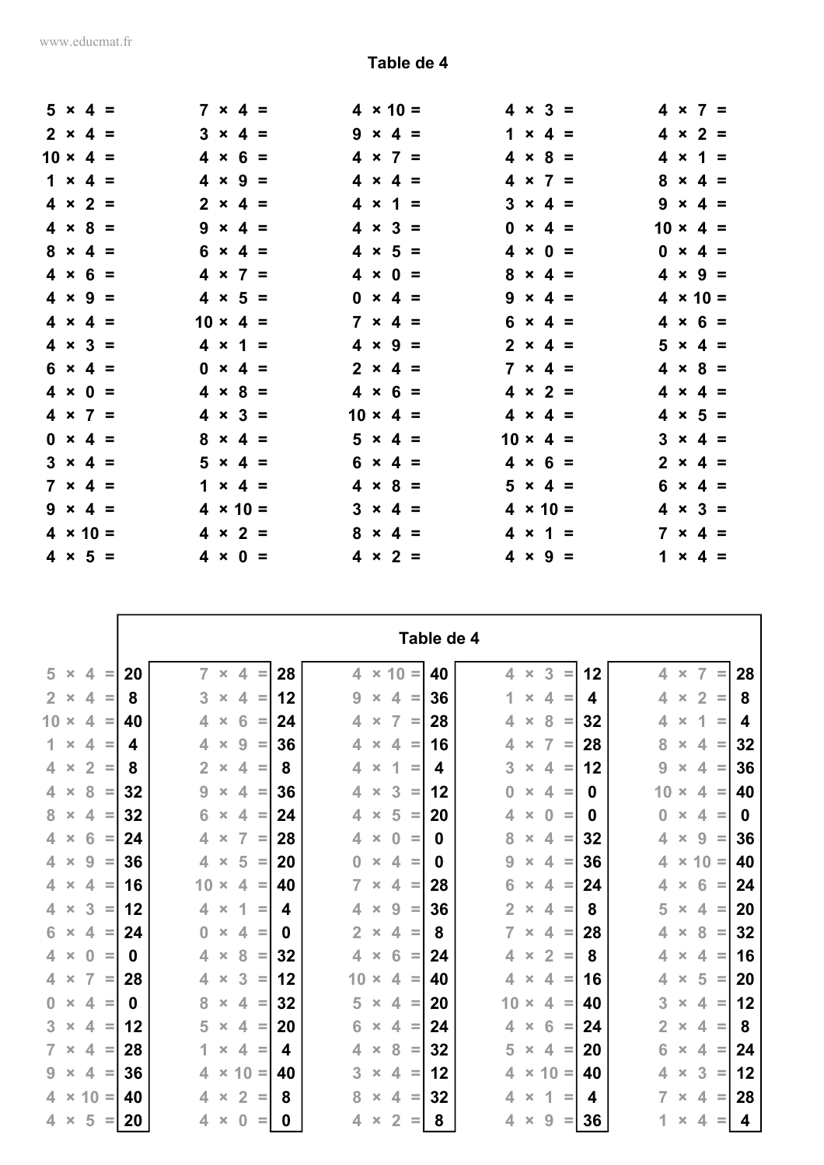|  | $5 \times 4 =$  |  | $7 \times 4 =$  |                 | $4 \times 10 =$ | $4 \times 3 =$<br>$4 \times 7 =$  |
|--|-----------------|--|-----------------|-----------------|-----------------|-----------------------------------|
|  | $2 \times 4 =$  |  | $3 \times 4 =$  |                 | $9 \times 4 =$  | $1 \times 4 =$<br>$4 \times 2 =$  |
|  | $10 \times 4 =$ |  | $4 \times 6 =$  |                 | $4 \times 7 =$  | $4 \times 8 =$<br>$4 \times 1 =$  |
|  | $1 \times 4 =$  |  | $4 \times 9 =$  |                 | $4 \times 4 =$  | $8 \times 4 =$<br>$4 \times 7 =$  |
|  | $4 \times 2 =$  |  | $2 \times 4 =$  |                 | $4 \times 1 =$  | $3 \times 4 =$<br>$9 \times 4 =$  |
|  | $4 \times 8 =$  |  | $9 \times 4 =$  |                 | $4 \times 3 =$  | $10 \times 4 =$<br>$0 \times 4 =$ |
|  | $8 \times 4 =$  |  | $6 \times 4 =$  |                 | $4 \times 5 =$  | $0 \times 4 =$<br>$4 \times 0 =$  |
|  | $4 \times 6 =$  |  | $4 \times 7 =$  |                 | $4 \times 0 =$  | $8 \times 4 =$<br>$4 \times 9 =$  |
|  | $4 \times 9 =$  |  | $4 \times 5 =$  |                 | $0 \times 4 =$  | $4 \times 10 =$<br>$9 \times 4 =$ |
|  | $4 \times 4 =$  |  | $10 \times 4 =$ |                 | $7 \times 4 =$  | $4 \times 6 =$<br>$6 \times 4 =$  |
|  | $4 \times 3 =$  |  | $4 \times 1 =$  |                 | $4 \times 9 =$  | $2 \times 4 =$<br>$5 \times 4 =$  |
|  | $6 \times 4 =$  |  | $0 \times 4 =$  |                 | $2 \times 4 =$  | $4 \times 8 =$<br>$7 \times 4 =$  |
|  | $4 \times 0 =$  |  | $4 \times 8 =$  |                 | $4 \times 6 =$  | $4 \times 2 =$<br>$4 \times 4 =$  |
|  | $4 \times 7 =$  |  | $4 \times 3 =$  | $10 \times 4 =$ |                 | $4 \times 4 =$<br>$4 \times 5 =$  |
|  | $0 \times 4 =$  |  | $8 \times 4 =$  |                 | $5 \times 4 =$  | $10 \times 4 =$<br>$3 \times 4 =$ |
|  | $3 \times 4 =$  |  | $5 \times 4 =$  |                 | $6 \times 4 =$  | $2 \times 4 =$<br>$4 \times 6 =$  |
|  | $7 \times 4 =$  |  | $1 \times 4 =$  |                 | $4 \times 8 =$  | $5 \times 4 =$<br>$6 \times 4 =$  |
|  | $9 \times 4 =$  |  | $4 \times 10 =$ |                 | $3 \times 4 =$  | $4 \times 10 =$<br>$4 \times 3 =$ |
|  | $4 \times 10 =$ |  | $4 \times 2 =$  |                 | $8 \times 4 =$  | $7 \times 4 =$<br>$4 \times 1 =$  |
|  | $4 \times 5 =$  |  | $4 \times 0 =$  |                 | $4 \times 2 =$  | $4 \times 9 =$<br>$1 \times 4 =$  |

|                                                                  |    |                |                |                |          |    |                  |                |                            |          | Table de 4 |                  |                       |                              |    |                          |                |                |          |    |
|------------------------------------------------------------------|----|----------------|----------------|----------------|----------|----|------------------|----------------|----------------------------|----------|------------|------------------|-----------------------|------------------------------|----|--------------------------|----------------|----------------|----------|----|
| 5<br>4<br>$\times$<br>$\equiv$                                   | 20 | $\overline{7}$ | $\pmb{\times}$ | $\overline{4}$ | $\equiv$ | 28 | $\blacktriangle$ |                | $\times$ 10 =              |          | 40         | $\blacktriangle$ | $\pmb{\times}$        | 3<br>Ξ                       | 12 | $\overline{\mathcal{L}}$ | $\pmb{\times}$ | $\overline{7}$ | $\equiv$ | 28 |
| $2 \times$<br>$\overline{4}$<br>$\equiv$                         | 8  | 3              | $\times$       | $\overline{4}$ | $\equiv$ | 12 | 9                |                | $\overline{4}$<br>$\times$ | $\equiv$ | 36         | 1                | $\pmb{\times}$        | $\overline{4}$<br>$\equiv$   | 4  | 4                        | $\pmb{\times}$ | $\overline{2}$ | $\equiv$ | 8  |
| $10 \times$<br>$\overline{\mathcal{A}}$<br>$\equiv$              | 40 | 4              | $\pmb{\times}$ | 6              | $\equiv$ | 24 | 4                |                | 7<br>$\pmb{\times}$        | $\equiv$ | 28         | 4                | $\times$              | 8<br>$\equiv$                | 32 | 4                        | $\pmb{\times}$ | 1              | $\equiv$ | 4  |
| $\overline{4}$<br>1.<br>$\times$<br>$\equiv$                     | 4  | 4              | $\pmb{\times}$ | 9              | $\equiv$ | 36 | 4                | $\times$       | $\overline{4}$             | $\equiv$ | 16         | 4                | $\pmb{\times}$        | $\overline{7}$<br>$\equiv$   | 28 | 8                        | $\pmb{\times}$ | 4              | $\equiv$ | 32 |
| $\overline{2}$<br>$\overline{4}$<br>$\pmb{\times}$<br>$\equiv$   | 8  | $\overline{2}$ | $\times$       | 4              | $\equiv$ | 8  | 4                |                | 1<br>$\pmb{\times}$        | $\equiv$ | 4          | 3                | $\times$              | 4<br>$\equiv$                | 12 | 9                        | $\pmb{\times}$ | 4              | $\equiv$ | 36 |
| $4 \times$<br>8<br>$\equiv$                                      | 32 | 9              | $\pmb{\times}$ | 4              | $\equiv$ | 36 | 4                | $\times$       | 3                          | $\equiv$ | 12         | 0                | $\pmb{\times}$        | $\blacktriangle$<br>$\equiv$ | 0  | 10                       | $\pmb{\times}$ | 4              | $\equiv$ | 40 |
| 8<br>$\overline{4}$<br>$\mathbf{x}$<br>$\equiv$                  | 32 | 6              | $\pmb{\times}$ | $\overline{4}$ | $=$      | 24 | 4                | $\pmb{\times}$ | 5                          | $\equiv$ | 20         | 4                | $\pmb{\times}$        | $\bf{0}$<br>$\equiv$         | 0  | 0                        | $\pmb{\times}$ | 4              | $\equiv$ | 0  |
| 6<br>$4 \times$<br>$\equiv$                                      | 24 | 4              | $\pmb{\times}$ | $\overline{7}$ | $\equiv$ | 28 | 4                |                | $\bf{0}$<br>$\times$       | $\equiv$ | 0          | 8                | $\times$              | 4<br>$\equiv$                | 32 | 4                        | $\pmb{\times}$ | 9              | $\equiv$ | 36 |
| 9<br>$\overline{4}$<br>$\times$<br>$\equiv$                      | 36 | 4              | $\pmb{\times}$ | 5              | $\equiv$ | 20 | $\bf{0}$         | $\times$       | $\overline{\mathcal{A}}$   | $\equiv$ | 0          | 9                | $\times$              | 4<br>$\equiv$                | 36 | 4                        | $\pmb{\times}$ | $10 =$         |          | 40 |
| $4 \times$<br>4<br>$\equiv$                                      | 16 | $10 \times$    |                | 4              | $\equiv$ | 40 | $\overline{7}$   | $\pmb{\times}$ | 4                          | $\equiv$ | 28         | 6                | $\times$              | 4<br>$\equiv$                | 24 | 4                        | $\pmb{\times}$ | 6              | $\equiv$ | 24 |
| 3<br>$\overline{4}$<br>$\times$<br>$\equiv$                      | 12 | 4              | $\times$       | 1              | Ξ        | 4  | 4                |                | 9<br>$\times$              | $\equiv$ | 36         | $\overline{2}$   | $\times$              | $\overline{4}$<br>$\equiv$   | 8  | 5                        | $\pmb{\times}$ | 4              | $\equiv$ | 20 |
| $6 \times$<br>$\overline{\mathcal{A}}$<br>$\equiv$               | 24 | $\bf{0}$       | $\pmb{\times}$ | 4              | $\equiv$ | 0  | $\overline{2}$   | $\times$       | 4                          | $\equiv$ | 8          | 7                | $\pmb{\times}$        | 4<br>$\equiv$                | 28 | 4                        | $\pmb{\times}$ | 8              | $\equiv$ | 32 |
| $4 \times$<br>$\mathbf{0}$<br>$\equiv$                           | 0  | $\overline{4}$ | $\pmb{\times}$ | 8              | $\equiv$ | 32 | 4                | $\pmb{\times}$ | 6                          | $\equiv$ | 24         | 4                | $\pmb{\times}$        | $\overline{2}$<br>$\equiv$   | 8  | 4                        | $\pmb{\times}$ | 4              | $\equiv$ | 16 |
| $\overline{7}$<br>$\blacktriangle$<br>$\pmb{\times}$<br>$\equiv$ | 28 | 4              | $\pmb{\times}$ | 3              | $\equiv$ | 12 | 10               | $\times$       | $\overline{4}$             | $\equiv$ | 40         | 4                | $\times$              | $\overline{4}$<br>$\equiv$   | 16 | 4                        | $\pmb{\times}$ | 5              | $\equiv$ | 20 |
| $\mathbf{0}$<br>$\overline{\mathcal{A}}$<br>$\times$<br>$\equiv$ | 0  | 8              | $\pmb{\times}$ | 4              | $\equiv$ | 32 | 5                | $\times$       | $\overline{4}$             | $\equiv$ | 20         | 10               | $\pmb{\times}$        | 4<br>$\equiv$                | 40 | 3                        | $\pmb{\times}$ | 4              | $\equiv$ | 12 |
| $3 -$<br>$\overline{\mathcal{A}}$<br>$\times$<br>$\equiv$        | 12 | 5              | $\pmb{\times}$ | 4              | $\equiv$ | 20 | 6                | $\times$       | 4                          | $\equiv$ | 24         | 4                | $\pmb{\times}$        | 6<br>$\equiv$                | 24 | $\overline{2}$           | $\pmb{\times}$ | 4              | $\equiv$ | 8  |
| $\overline{4}$<br>$\overline{7}$<br>$\pmb{\times}$<br>$\equiv$   | 28 | 1              | $\times$       | $\overline{4}$ | $\equiv$ | 4  | 4                |                | 8<br>$\pmb{\times}$        | $\equiv$ | 32         | 5                | $\pmb{\times}$        | $\overline{4}$<br>$\equiv$   | 20 | 6                        | $\pmb{\times}$ | 4              | $\equiv$ | 24 |
| 9<br>4<br>$\times$<br>Ξ                                          | 36 | 4              | $\times$       | $10 =$         |          | 40 | 3                | $\pmb{\times}$ | 4                          | $\equiv$ | 12         | 4                |                       | $\times$ 10 =                | 40 | 4                        | $\times$       | 3              | $\equiv$ | 12 |
| $10 =$<br>$4 \times$                                             | 40 | 4              | $\pmb{\times}$ | $\overline{2}$ | $\equiv$ | 8  | 8                |                | 4<br>$\times$              | $\equiv$ | 32         | 4                | $\times$              | 1<br>$\equiv$                | 4  | $\overline{7}$           | $\pmb{\times}$ | 4              | $\equiv$ | 28 |
| 5<br>$4 \times$<br>$\equiv$                                      | 20 | 4              | $\pmb{\times}$ | $\bf{0}$       | ≡        | 0  | 4                | $\times$       | $\overline{2}$             | Ξ        | 8          | 4                | $\boldsymbol{\times}$ | 9                            | 36 | 1                        | ×              | 4              | Ξ        | 4  |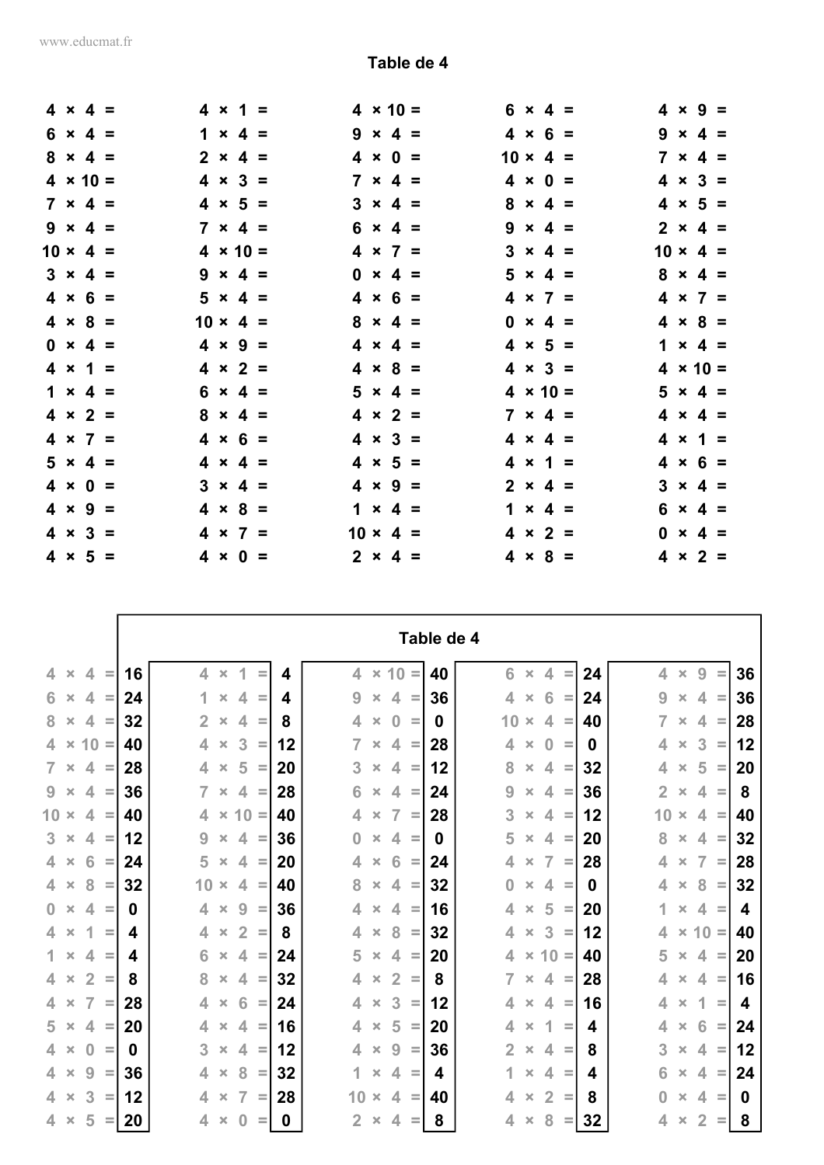|  | $4 \times 4 =$  |  | $4 \times 1 =$  |                 | $4 \times 10 =$ | $4 \times 9 =$<br>$6 \times 4 =$  |
|--|-----------------|--|-----------------|-----------------|-----------------|-----------------------------------|
|  | $6 \times 4 =$  |  | $1 \times 4 =$  |                 | $9 \times 4 =$  | $4 \times 6 =$<br>$9 \times 4 =$  |
|  | $8 \times 4 =$  |  | $2 \times 4 =$  |                 | $4 \times 0 =$  | $10 \times 4 =$<br>$7 \times 4 =$ |
|  | $4 \times 10 =$ |  | $4 \times 3 =$  |                 | $7 \times 4 =$  | $4 \times 0 =$<br>$4 \times 3 =$  |
|  | $7 \times 4 =$  |  | $4 \times 5 =$  |                 | $3 \times 4 =$  | $4 \times 5 =$<br>$8 \times 4 =$  |
|  | $9 \times 4 =$  |  | $7 \times 4 =$  |                 | $6 \times 4 =$  | $2 \times 4 =$<br>$9 \times 4 =$  |
|  | $10 \times 4 =$ |  | $4 \times 10 =$ |                 | $4 \times 7 =$  | $10 \times 4 =$<br>$3 \times 4 =$ |
|  | $3 \times 4 =$  |  | $9 \times 4 =$  |                 | $0 \times 4 =$  | $5 \times 4 =$<br>$8 \times 4 =$  |
|  | $4 \times 6 =$  |  | $5 \times 4 =$  |                 | $4 \times 6 =$  | $4 \times 7 =$<br>$4 \times 7 =$  |
|  | $4 \times 8 =$  |  | $10 \times 4 =$ |                 | $8 \times 4 =$  | $0 \times 4 =$<br>$4 \times 8 =$  |
|  | $0 \times 4 =$  |  | $4 \times 9 =$  |                 | $4 \times 4 =$  | $4 \times 5 =$<br>$1 \times 4 =$  |
|  | $4 \times 1 =$  |  | $4 \times 2 =$  |                 | $4 \times 8 =$  | $4 \times 10 =$<br>$4 \times 3 =$ |
|  | $1 \times 4 =$  |  | $6 \times 4 =$  |                 | $5 \times 4 =$  | $4 \times 10 =$<br>$5 \times 4 =$ |
|  | $4 \times 2 =$  |  | $8 \times 4 =$  |                 | $4 \times 2 =$  | $7 \times 4 =$<br>$4 \times 4 =$  |
|  | $4 \times 7 =$  |  | $4 \times 6 =$  |                 | $4 \times 3 =$  | $4 \times 1 =$<br>$4 \times 4 =$  |
|  | $5 \times 4 =$  |  | $4 \times 4 =$  |                 | $4 \times 5 =$  | $4 \times 6 =$<br>$4 \times 1 =$  |
|  | $4 \times 0 =$  |  | $3 \times 4 =$  |                 | $4 \times 9 =$  | $2 \times 4 =$<br>$3 \times 4 =$  |
|  | $4 \times 9 =$  |  | $4 \times 8 =$  |                 | $1 \times 4 =$  | $1 \times 4 =$<br>$6 \times 4 =$  |
|  | $4 \times 3 =$  |  | $4 \times 7 =$  | $10 \times 4 =$ |                 | $4 \times 2 =$<br>$0 \times 4 =$  |
|  | $4 \times 5 =$  |  | $4 \times 0 =$  |                 | $2 \times 4 =$  | $4 \times 8 =$<br>$4 \times 2 =$  |
|  |                 |  |                 |                 |                 |                                   |

|                                                                |    |                          |                |                |          |    |                |                |                |          | Table de 4 |                |                       |                          |          |          |                |                |                |          |    |
|----------------------------------------------------------------|----|--------------------------|----------------|----------------|----------|----|----------------|----------------|----------------|----------|------------|----------------|-----------------------|--------------------------|----------|----------|----------------|----------------|----------------|----------|----|
| $\blacktriangle$<br>4.<br>$\times$<br>$\equiv$                 | 16 | $\overline{\mathcal{A}}$ | $\pmb{\times}$ | 1              | Ξ        | 4  | $\overline{4}$ |                | $\times$ 10 =  |          | 40         | 6              | $\pmb{\times}$        | $\overline{\mathcal{A}}$ | $\equiv$ | 24       | ◢              | $\pmb{\times}$ | 9              | $\equiv$ | 36 |
| 6 <sup>1</sup><br>4<br>$\pmb{\times}$<br>$\equiv$              | 24 | 1                        | $\pmb{\times}$ | 4              | $\equiv$ | 4  | 9              | $\times$       | 4              | $\equiv$ | 36         | 4              | $\pmb{\times}$        | 6                        | $\equiv$ | 24       | 9              | $\pmb{\times}$ | 4              | $\equiv$ | 36 |
| $8 \times$<br>4<br>$\equiv$                                    | 32 | $\overline{2}$           | $\pmb{\times}$ | 4              | $\equiv$ | 8  | 4              | $\pmb{\times}$ | $\bf{0}$       | $\equiv$ | 0          | 10             | $\pmb{\times}$        | 4                        | $\equiv$ | 40       | 7              | $\pmb{\times}$ | 4              | $\equiv$ | 28 |
| $4 \times 10 =$                                                | 40 | $\overline{4}$           | $\times$       | 3              | $\equiv$ | 12 | $\overline{7}$ | $\pmb{\times}$ | $\overline{4}$ | $\equiv$ | 28         | 4              | $\pmb{\times}$        | $\bf{0}$                 | $\equiv$ | $\bf{0}$ | 4              | $\pmb{\times}$ | 3              | $\equiv$ | 12 |
| $\overline{7}$<br>$\overline{4}$<br>$\times$<br>$\equiv$       | 28 | 4                        | $\times$       | 5              | $\equiv$ | 20 | 3              | $\times$       | $\overline{4}$ | $\equiv$ | 12         | 8              | $\times$              | 4                        | $\equiv$ | 32       | 4              | $\times$       | 5              | $\equiv$ | 20 |
| 9<br>$\overline{4}$<br>$\pmb{\times}$<br>$\equiv$              | 36 | $\overline{7}$           | $\times$       | 4              | $\equiv$ | 28 | 6              | $\times$       | $\overline{4}$ | $\equiv$ | 24         | 9              | $\pmb{\times}$        | $\overline{4}$           | $\equiv$ | 36       | $\overline{2}$ | $\times$       | 4              | $\equiv$ | 8  |
| $10 \times$<br>4<br>$\equiv$                                   | 40 | 4                        |                | $\times$ 10 =  |          | 40 | 4              | $\pmb{\times}$ | $\overline{7}$ | $\equiv$ | 28         | 3              | $\pmb{\times}$        | 4                        | $\equiv$ | 12       | 10             | $\times$       | 4              | $\equiv$ | 40 |
| $3 \times$<br>$\overline{4}$<br>$\equiv$                       | 12 | 9                        | $\times$       | 4              | $\equiv$ | 36 | 0              | $\times$       | $\overline{4}$ | $\equiv$ | 0          | 5              | $\pmb{\times}$        | 4                        | $\equiv$ | 20       | 8              | $\times$       | 4              | $\equiv$ | 32 |
| $4 -$<br>$6\phantom{1}6$<br>$\pmb{\times}$<br>$\equiv$         | 24 | 5                        | $\pmb{\times}$ | 4              | $\equiv$ | 20 | 4              | $\pmb{\times}$ | 6              | $\equiv$ | 24         | 4              | $\boldsymbol{\times}$ | 7                        | $\equiv$ | 28       | 4              | $\pmb{\times}$ | $\overline{7}$ | $\equiv$ | 28 |
| 8<br>$4 \times$<br>$\equiv$                                    | 32 | $10 \times$              |                | 4              | $\equiv$ | 40 | 8              | $\times$       | 4              | $\equiv$ | 32         | $\bf{0}$       | $\pmb{\times}$        | 4                        | $\equiv$ | $\bf{0}$ | 4              | $\times$       | 8              | $\equiv$ | 32 |
| $\mathbf{0}$<br>$\pmb{\times}$<br>$\overline{4}$<br>$\equiv$   | 0  | 4                        | $\pmb{\times}$ | 9              | Ξ        | 36 | 4              | $\pmb{\times}$ | 4              | $\equiv$ | 16         | 4              | $\pmb{\times}$        | 5                        | $\equiv$ | 20       | 1              | $\pmb{\times}$ | 4              | $\equiv$ | 4  |
| 1<br>4<br>$\times$<br>$\equiv$                                 | 4  | 4                        | $\pmb{\times}$ | $\overline{2}$ | $\equiv$ | 8  | 4              | $\times$       | 8              | $\equiv$ | 32         | 4              | $\pmb{\times}$        | 3                        | $\equiv$ | 12       | 4              | $\pmb{\times}$ | $10 =$         |          | 40 |
| 1<br>$\overline{\mathcal{A}}$<br>$\pmb{\times}$<br>$\equiv$    | 4  | 6                        | $\pmb{\times}$ | 4              | $\equiv$ | 24 | 5              | $\times$       | $\overline{4}$ | $\equiv$ | 20         | 4              | $\pmb{\times}$        | $10 =$                   |          | 40       | 5              | $\pmb{\times}$ | 4              | $\equiv$ | 20 |
| $\overline{2}$<br>$\overline{4}$<br>$\pmb{\times}$<br>$\equiv$ | 8  | 8                        | $\pmb{\times}$ | 4              | $\equiv$ | 32 | 4              | $\times$       | $\overline{2}$ | $\equiv$ | 8          | $\overline{7}$ | $\pmb{\times}$        | $\overline{4}$           | $\equiv$ | 28       | 4              | $\pmb{\times}$ | 4              | $\equiv$ | 16 |
| 7<br>4.<br>$\times$<br>$\equiv$                                | 28 | 4                        | $\times$       | 6              | $\equiv$ | 24 | 4              | $\times$       | 3              | $\equiv$ | 12         | 4              | $\times$              | $\overline{4}$           | $\equiv$ | 16       | 4              | $\times$       | 1              | $\equiv$ | 4  |
| $5 \times$<br>$\overline{\mathcal{A}}$<br>$\equiv$             | 20 | 4                        | $\pmb{\times}$ | 4              | $\equiv$ | 16 | 4              | $\pmb{\times}$ | 5              | $\equiv$ | 20         | 4              | $\pmb{\times}$        | 1                        | $\equiv$ | 4        | 4              | $\pmb{\times}$ | 6              | $\equiv$ | 24 |
| $\overline{4}$<br>$\mathbf{0}$<br>$\times$<br>$\equiv$         | 0  | 3                        | $\times$       | $\overline{4}$ | $\equiv$ | 12 | 4              | $\times$       | 9              | $\equiv$ | 36         | $\overline{2}$ | $\times$              | $\overline{4}$           | $\equiv$ | 8        | 3              | $\times$       | 4              | $\equiv$ | 12 |
| $4 \times$<br>9<br>$\equiv$                                    | 36 | 4                        | $\pmb{\times}$ | 8              | $\equiv$ | 32 | 1.             | $\pmb{\times}$ | 4              | $\equiv$ | 4          | 1              | $\pmb{\times}$        | 4                        | $\equiv$ | 4        | 6              | $\pmb{\times}$ | 4              | $\equiv$ | 24 |
| 3<br>$4 \times$<br>$\equiv$                                    | 12 | 4                        | $\pmb{\times}$ | $\overline{7}$ | $\equiv$ | 28 | 10             | $\times$       | $\overline{4}$ | $\equiv$ | 40         | 4              | $\times$              | $\overline{2}$           | $\equiv$ | 8        | $\bf{0}$       | $\pmb{\times}$ | 4              | $\equiv$ | 0  |
| 5<br>$4 \times$<br>$\equiv$                                    | 20 | 4                        | $\pmb{\times}$ | $\bf{0}$       | $=$      | 0  | $\overline{2}$ | $\times$       | 4              | $=$      | 8          | 4              | $\times$              | 8                        | ≡        | 32       | 4              | ×              | $\overline{2}$ | $=$      | 8  |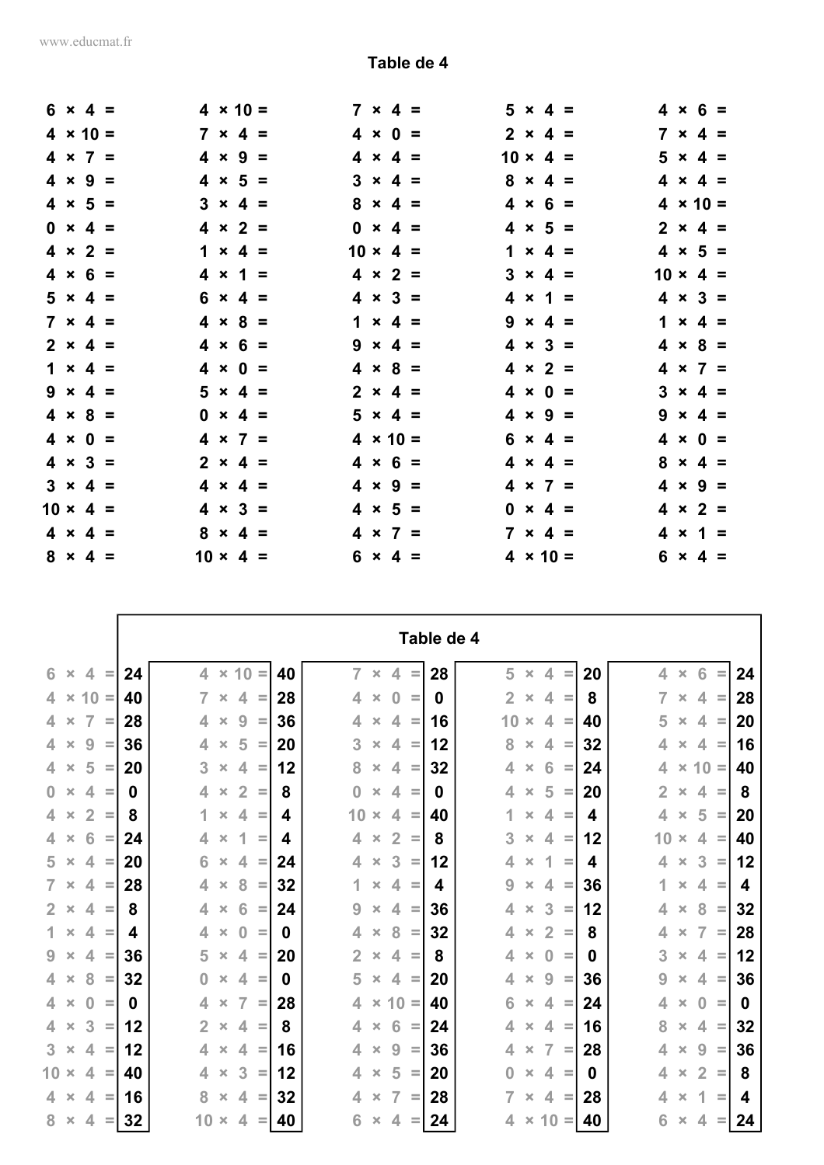r

|  | $6 \times 4 =$  |  | $4 \times 10 =$ |  |                 | $7 \times 4 =$  | $5 \times 4 =$  |  | $4 \times 6 =$  |  |
|--|-----------------|--|-----------------|--|-----------------|-----------------|-----------------|--|-----------------|--|
|  | $4 \times 10 =$ |  | $7 \times 4 =$  |  |                 | $4 \times 0 =$  | $2 \times 4 =$  |  | $7 \times 4 =$  |  |
|  | $4 \times 7 =$  |  | $4 \times 9 =$  |  |                 | $4 \times 4 =$  | $10 \times 4 =$ |  | $5 \times 4 =$  |  |
|  | $4 \times 9 =$  |  | $4 \times 5 =$  |  |                 | $3 \times 4 =$  | $8 \times 4 =$  |  | $4 \times 4 =$  |  |
|  | $4 \times 5 =$  |  | $3 \times 4 =$  |  |                 | $8 \times 4 =$  | $4 \times 6 =$  |  | $4 \times 10 =$ |  |
|  | $0 \times 4 =$  |  | $4 \times 2 =$  |  |                 | $0 \times 4 =$  | $4 \times 5 =$  |  | $2 \times 4 =$  |  |
|  | $4 \times 2 =$  |  | $1 \times 4 =$  |  | $10 \times 4 =$ |                 | $1 \times 4 =$  |  | $4 \times 5 =$  |  |
|  | $4 \times 6 =$  |  | $4 \times 1 =$  |  |                 | $4 \times 2 =$  | $3 \times 4 =$  |  | $10 \times 4 =$ |  |
|  | $5 \times 4 =$  |  | $6 \times 4 =$  |  |                 | $4 \times 3 =$  | $4 \times 1 =$  |  | $4 \times 3 =$  |  |
|  | $7 \times 4 =$  |  | $4 \times 8 =$  |  |                 | $1 \times 4 =$  | $9 \times 4 =$  |  | $1 \times 4 =$  |  |
|  | $2 \times 4 =$  |  | $4 \times 6 =$  |  |                 | $9 \times 4 =$  | $4 \times 3 =$  |  | $4 \times 8 =$  |  |
|  | $1 \times 4 =$  |  | $4 \times 0 =$  |  |                 | $4 \times 8 =$  | $4 \times 2 =$  |  | $4 \times 7 =$  |  |
|  | $9 \times 4 =$  |  | $5 \times 4 =$  |  |                 | $2 \times 4 =$  | $4 \times 0 =$  |  | $3 \times 4 =$  |  |
|  | $4 \times 8 =$  |  | $0 \times 4 =$  |  |                 | $5 \times 4 =$  | $4 \times 9 =$  |  | $9 \times 4 =$  |  |
|  | $4 \times 0 =$  |  | $4 \times 7 =$  |  |                 | $4 \times 10 =$ | $6 \times 4 =$  |  | $4 \times 0 =$  |  |
|  | $4 \times 3 =$  |  | $2 \times 4 =$  |  |                 | $4 \times 6 =$  | $4 \times 4 =$  |  | $8 \times 4 =$  |  |
|  | $3 \times 4 =$  |  | $4 \times 4 =$  |  |                 | $4 \times 9 =$  | $4 \times 7 =$  |  | $4 \times 9 =$  |  |
|  | $10 \times 4 =$ |  | $4 \times 3 =$  |  |                 | $4 \times 5 =$  | $0 \times 4 =$  |  | $4 \times 2 =$  |  |
|  | $4 \times 4 =$  |  | $8 \times 4 =$  |  |                 | $4 \times 7 =$  | $7 \times 4 =$  |  | $4 \times 1 =$  |  |
|  | $8 \times 4 =$  |  | $10 \times 4 =$ |  |                 | $6 \times 4 =$  | $4 \times 10 =$ |  | $6 \times 4 =$  |  |

|                                                                |    |                |                |                |          |    |                |                |                          |          | Table de 4 |                |                |                         |          |    |                |                |                |          |    |
|----------------------------------------------------------------|----|----------------|----------------|----------------|----------|----|----------------|----------------|--------------------------|----------|------------|----------------|----------------|-------------------------|----------|----|----------------|----------------|----------------|----------|----|
| 6<br>$\overline{4}$<br>$\pmb{\times}$<br>$\equiv$              | 24 | $\overline{4}$ |                | $\times$ 10 =  |          | 40 | $\overline{7}$ | $\pmb{\times}$ | $\overline{4}$           | $\equiv$ | 28         | 5              | $\pmb{\times}$ | $\overline{\mathbf{4}}$ | $\equiv$ | 20 | 4              | $\pmb{\times}$ | 6              | $\equiv$ | 24 |
| $10 =$<br>$4 \times$                                           | 40 | $\overline{7}$ | $\pmb{\times}$ | $\overline{4}$ | $\equiv$ | 28 | 4              | $\times$       | $\bf{0}$                 | $\equiv$ | 0          | $\overline{2}$ | $\pmb{\times}$ | 4                       | $\equiv$ | 8  | $\overline{7}$ | $\pmb{\times}$ | 4              | Ξ        | 28 |
| $\overline{7}$<br>$4 \times$<br>Ξ                              | 28 | 4              | $\pmb{\times}$ | 9              | $\equiv$ | 36 | 4              | $\times$       | 4                        | $\equiv$ | 16         | 10             | $\times$       | 4                       | $\equiv$ | 40 | 5              | $\pmb{\times}$ | 4              | $\equiv$ | 20 |
| 9<br>$\overline{4}$<br>$\times$<br>$\equiv$                    | 36 | 4              | $\times$       | 5              | $\equiv$ | 20 | 3              | $\times$       | $\overline{4}$           | $\equiv$ | 12         | 8              | $\times$       | $\overline{4}$          | $\equiv$ | 32 | 4              | $\times$       | 4              | $\equiv$ | 16 |
| 5<br>$4 \times$<br>$\equiv$                                    | 20 | 3              | $\pmb{\times}$ | 4              | $\equiv$ | 12 | 8              | $\pmb{\times}$ | 4                        | $\equiv$ | 32         | 4              | $\pmb{\times}$ | 6                       | $\equiv$ | 24 | 4              | $\pmb{\times}$ | $10 =$         |          | 40 |
| $0 \times$<br>$\overline{\mathcal{A}}$<br>$\equiv$             | 0  | 4              | $\pmb{\times}$ | $\overline{2}$ | $\equiv$ | 8  | $\overline{0}$ | $\pmb{\times}$ | $\overline{4}$           | $\equiv$ | 0          | 4              | $\times$       | 5                       | $\equiv$ | 20 | $\overline{2}$ | $\pmb{\times}$ | 4              | $\equiv$ | 8  |
| $\overline{2}$<br>$\overline{4}$<br>$\pmb{\times}$<br>$\equiv$ | 8  | 1              | $\pmb{\times}$ | 4              | $\equiv$ | 4  | 10             | $\times$       | $\overline{4}$           | $\equiv$ | 40         | 1              | $\pmb{\times}$ | 4                       | $\equiv$ | 4  | $\overline{4}$ | $\pmb{\times}$ | 5              | $\equiv$ | 20 |
| 6<br>$4 \times$<br>$\equiv$                                    | 24 | 4              | $\times$       | 1              | $\equiv$ | 4  | 4              | $\times$       | $\overline{2}$           | $\equiv$ | 8          | 3              | $\times$       | 4                       | $\equiv$ | 12 | 10             | $\pmb{\times}$ | 4              | $\equiv$ | 40 |
| $5 \times$<br>$\overline{4}$<br>$\equiv$                       | 20 | 6              | $\pmb{\times}$ | 4              | $\equiv$ | 24 | 4              | $\pmb{\times}$ | 3                        | $\equiv$ | 12         | 4              | $\pmb{\times}$ | 1                       | $\equiv$ | 4  | 4              | $\pmb{\times}$ | 3              | $\equiv$ | 12 |
| $7 \times$<br>4<br>$\equiv$                                    | 28 | 4              | $\pmb{\times}$ | 8              | $\equiv$ | 32 | 1.             | ×              | 4                        | $\equiv$ | 4          | 9              | $\pmb{\times}$ | 4                       | $\equiv$ | 36 | 1              | $\times$       | 4              | $\equiv$ | 4  |
| $2 \times$<br>$\overline{4}$<br>$\equiv$                       | 8  | 4              | $\times$       | 6              | $\equiv$ | 24 | 9              | $\times$       | $\overline{4}$           | $\equiv$ | 36         | 4              | $\times$       | 3                       | $\equiv$ | 12 | $\overline{4}$ | $\pmb{\times}$ | 8              | $\equiv$ | 32 |
| 1.<br>$\blacktriangle$<br>$\times$<br>$\equiv$                 | 4  | 4              | $\pmb{\times}$ | $\bf{0}$       | $\equiv$ | 0  | 4              | $\pmb{\times}$ | 8                        | $\equiv$ | 32         | 4              | $\pmb{\times}$ | $\overline{2}$          | $\equiv$ | 8  | 4              | $\pmb{\times}$ | $\overline{7}$ | $\equiv$ | 28 |
| $9 \times$<br>$\overline{4}$<br>$\equiv$                       | 36 | 5              | $\pmb{\times}$ | $\overline{4}$ | $\equiv$ | 20 | $\overline{2}$ | $\pmb{\times}$ | $\overline{\mathcal{A}}$ | $\equiv$ | 8          | 4              | $\times$       | $\bf{0}$                | $\equiv$ | 0  | 3              | $\pmb{\times}$ | 4              | $\equiv$ | 12 |
| 8<br>4 <sup>1</sup><br>$\times$<br>$\equiv$                    | 32 | 0              | $\times$       | $\overline{4}$ | $\equiv$ | 0  | 5              | $\times$       | 4                        | $\equiv$ | 20         | 4              | $\times$       | 9                       | $\equiv$ | 36 | 9              | $\times$       | 4              | $\equiv$ | 36 |
| $4 \times$<br>$\mathbf{0}$<br>$\equiv$                         | 0  | 4              | $\times$       | 7              | Ξ        | 28 | 4              | $\pmb{\times}$ | $10 =$                   |          | 40         | 6              | $\times$       | 4                       | $\equiv$ | 24 | 4              | $\pmb{\times}$ | $\bf{0}$       | $\equiv$ | 0  |
| 3<br>$4 \times$<br>$\equiv$                                    | 12 | 2 <sup>1</sup> | $\times$       | $\overline{4}$ | $\equiv$ | 8  | 4              | $\times$       | 6                        | $\equiv$ | 24         | $\overline{4}$ | $\times$       | $\overline{4}$          | $\equiv$ | 16 | 8              | $\times$       | 4              | $\equiv$ | 32 |
| $3 \times$<br>$\overline{4}$<br>$\equiv$                       | 12 | 4              | $\pmb{\times}$ | $\overline{4}$ | $\equiv$ | 16 | 4              | $\pmb{\times}$ | 9                        | $\equiv$ | 36         | 4              | $\pmb{\times}$ | $\overline{7}$          | $\equiv$ | 28 | 4              | $\times$       | 9              | $\equiv$ | 36 |
| $10 \times$<br>$\overline{4}$<br>$\equiv$                      | 40 | $\overline{4}$ | $\pmb{\times}$ | 3              | $\equiv$ | 12 | 4              | $\pmb{\times}$ | 5                        | $\equiv$ | 20         | $\bf{0}$       | $\times$       | 4                       | $\equiv$ | 0  | 4              | $\pmb{\times}$ | $\overline{2}$ | $\equiv$ | 8  |
| $4 \times$<br>$\blacktriangle$<br>$\equiv$                     | 16 | 8              | $\times$       | $\overline{4}$ | $\equiv$ | 32 | 4              | $\times$       | $\overline{7}$           | $\equiv$ | 28         | $\overline{7}$ | $\pmb{\times}$ | $\overline{4}$          | $\equiv$ | 28 | 4              | $\times$       | 1              | $\equiv$ | 4  |
| $8 \times$<br>$\overline{4}$                                   | 32 |                | $10 \times$    | $\overline{4}$ | Ξ        | 40 | 6              | ×              | 4                        |          | 24         | 4              | $\pmb{\times}$ | $10 =$                  |          | 40 | 6              | $\times$       | 4              |          | 24 |